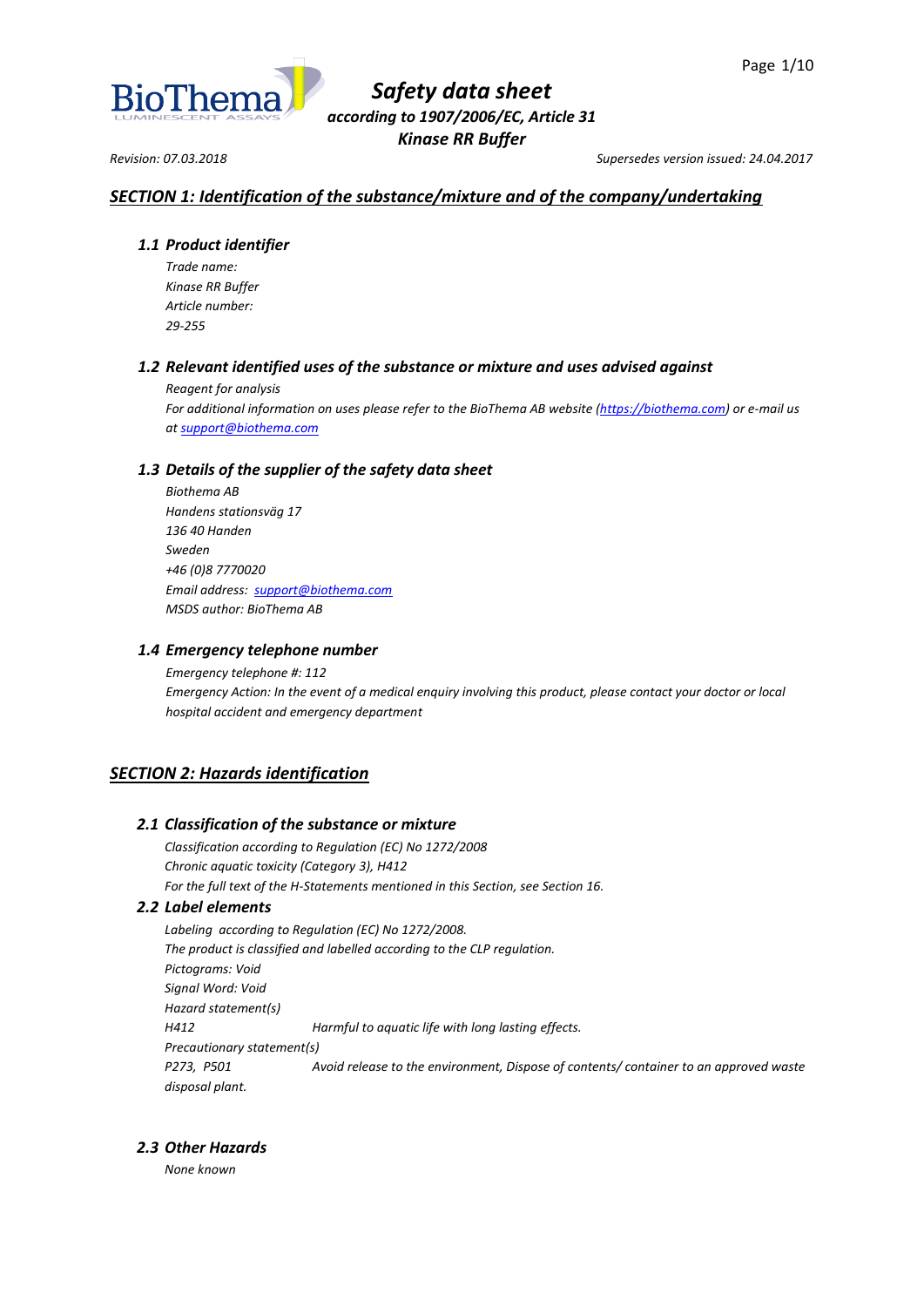

*Revision: 07.03.2018 Supersedes version issued: 24.04.2017*

# *SECTION 1: Identification of the substance/mixture and of the company/undertaking*

# *1.1 Product identifier*

*Trade name: Kinase RR Buffer Article number: 29-255*

# *1.2 Relevant identified uses of the substance or mixture and uses advised against*

*Reagent for analysis*

*For additional information on uses please refer to the BioThema AB website [\(https://biothema.com\)](https://biothema.com/) or e-mail us a[t support@biothema.com](mailto:support@biothema.com)*

# *1.3 Details of the supplier of the safety data sheet*

*Biothema AB Handens stationsväg 17 136 40 Handen Sweden +46 (0)8 7770020 Email address: [support@biothema.com](mailto:support@biothema.com) MSDS author: BioThema AB*

# *1.4 Emergency telephone number*

*Emergency telephone #: 112 Emergency Action: In the event of a medical enquiry involving this product, please contact your doctor or local hospital accident and emergency department*

# *SECTION 2: Hazards identification*

# *2.1 Classification of the substance or mixture*

*Classification according to Regulation (EC) No 1272/2008 Chronic aquatic toxicity (Category 3), H412 For the full text of the H-Statements mentioned in this Section, see Section 16.*

# *2.2 Label elements*

*Labeling according to Regulation (EC) No 1272/2008. The product is classified and labelled according to the CLP regulation. Pictograms: Void Signal Word: Void Hazard statement(s) H412 Harmful to aquatic life with long lasting effects. Precautionary statement(s) P273, P501 Avoid release to the environment, Dispose of contents/ container to an approved waste disposal plant.*

# *2.3 Other Hazards*

*None known*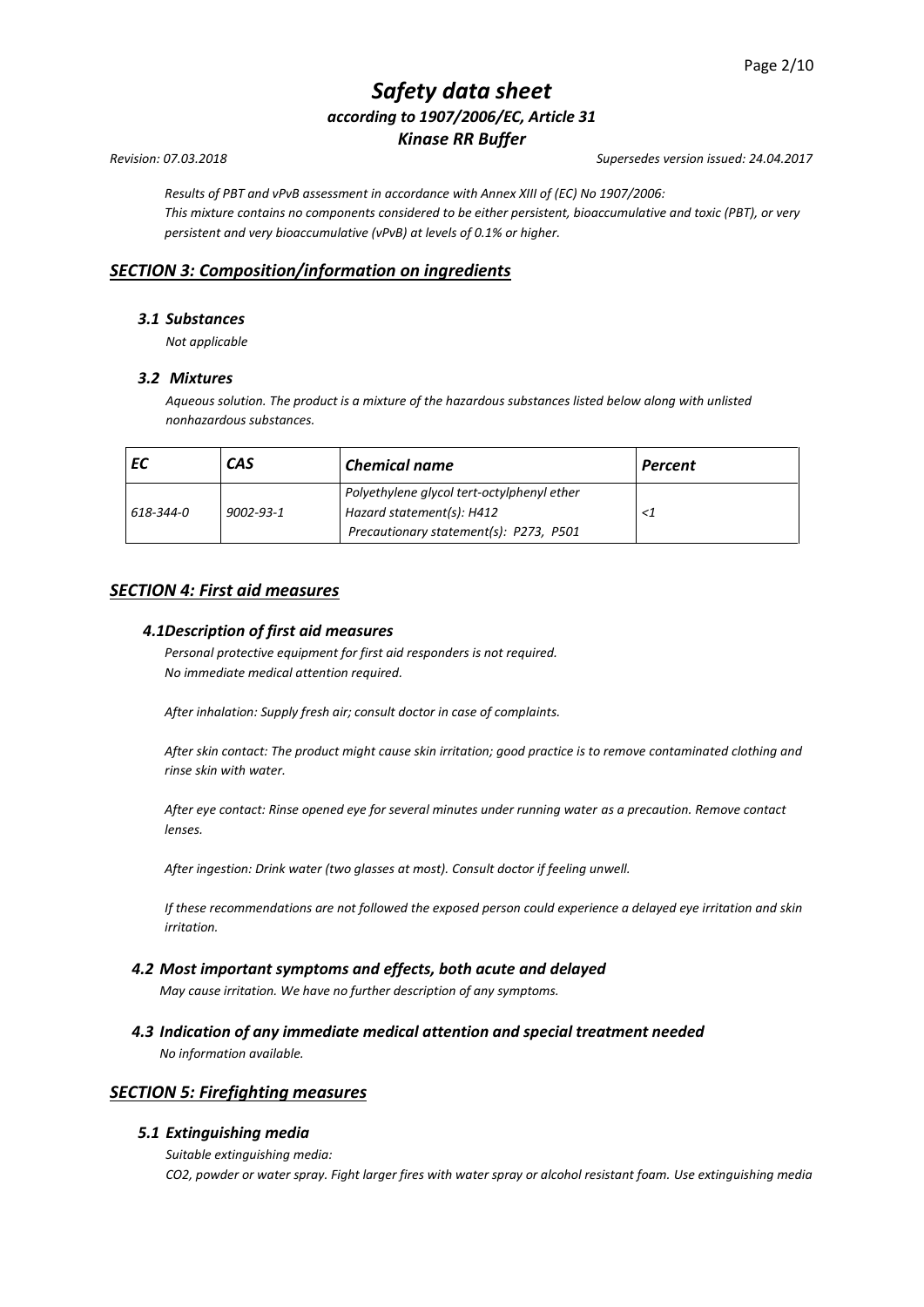*Results of PBT and vPvB assessment in accordance with Annex XIII of (EC) No 1907/2006: This mixture contains no components considered to be either persistent, bioaccumulative and toxic (PBT), or very persistent and very bioaccumulative (vPvB) at levels of 0.1% or higher.*

# *SECTION 3: Composition/information on ingredients*

# *3.1 Substances*

*Not applicable*

# *3.2 Mixtures*

*Aqueous solution. The product is a mixture of the hazardous substances listed below along with unlisted nonhazardous substances.*

|           | <b>CAS</b>      | <b>Chemical name</b>                                                    | Percent |
|-----------|-----------------|-------------------------------------------------------------------------|---------|
| 618-344-0 | $9002 - 93 - 1$ | Polyethylene glycol tert-octylphenyl ether<br>Hazard statement(s): H412 |         |
|           |                 | Precautionary statement(s): P273, P501                                  |         |

# *SECTION 4: First aid measures*

# *4.1Description of first aid measures*

*Personal protective equipment for first aid responders is not required. No immediate medical attention required.*

*After inhalation: Supply fresh air; consult doctor in case of complaints.*

*After skin contact: The product might cause skin irritation; good practice is to remove contaminated clothing and rinse skin with water.*

*After eye contact: Rinse opened eye for several minutes under running water as a precaution. Remove contact lenses.*

*After ingestion: Drink water (two glasses at most). Consult doctor if feeling unwell.*

*If these recommendations are not followed the exposed person could experience a delayed eye irritation and skin irritation.*

# *4.2 Most important symptoms and effects, both acute and delayed*

*May cause irritation. We have no further description of any symptoms.*

*4.3 Indication of any immediate medical attention and special treatment needed No information available.*

# *SECTION 5: Firefighting measures*

# *5.1 Extinguishing media*

*Suitable extinguishing media:*

*CO2, powder or water spray. Fight larger fires with water spray or alcohol resistant foam. Use extinguishing media* 

*Revision: 07.03.2018 Supersedes version issued: 24.04.2017*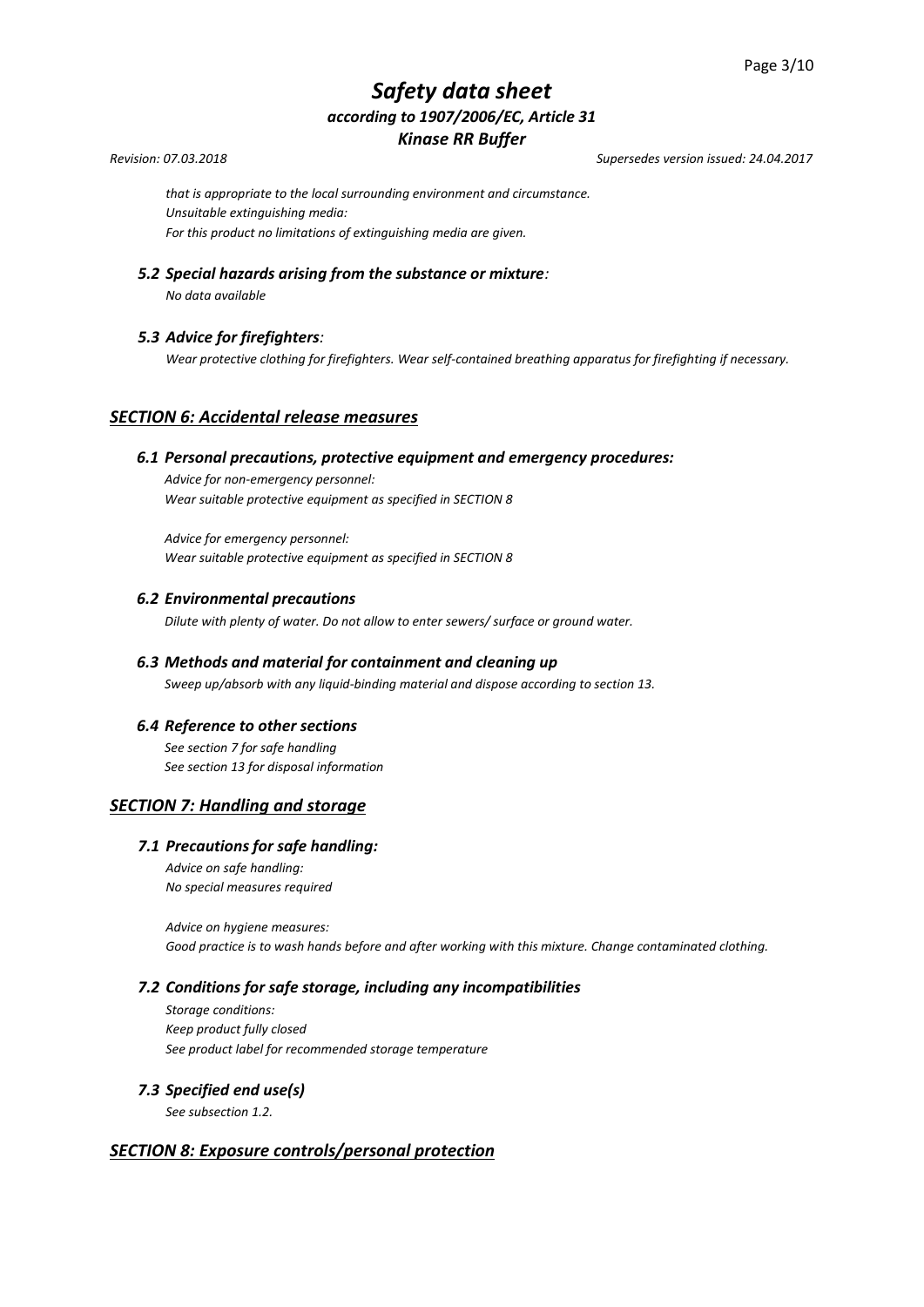*Revision: 07.03.2018 Supersedes version issued: 24.04.2017*

*that is appropriate to the local surrounding environment and circumstance. Unsuitable extinguishing media: For this product no limitations of extinguishing media are given.*

*5.2 Special hazards arising from the substance or mixture:* 

*No data available*

# *5.3 Advice for firefighters:*

*Wear protective clothing for firefighters. Wear self-contained breathing apparatus for firefighting if necessary.*

# *SECTION 6: Accidental release measures*

### *6.1 Personal precautions, protective equipment and emergency procedures:*

*Advice for non-emergency personnel: Wear suitable protective equipment as specified in SECTION 8*

*Advice for emergency personnel: Wear suitable protective equipment as specified in SECTION 8* 

### *6.2 Environmental precautions*

*Dilute with plenty of water. Do not allow to enter sewers/ surface or ground water.*

# *6.3 Methods and material for containment and cleaning up Sweep up/absorb with any liquid-binding material and dispose according to section 13.*

# *6.4 Reference to other sections*

*See section 7 for safe handling See section 13 for disposal information*

# *SECTION 7: Handling and storage*

# *7.1 Precautions for safe handling:*

*Advice on safe handling: No special measures required*

*Advice on hygiene measures: Good practice is to wash hands before and after working with this mixture. Change contaminated clothing.*

# *7.2 Conditions for safe storage, including any incompatibilities*

*Storage conditions: Keep product fully closed See product label for recommended storage temperature* 

# *7.3 Specified end use(s)*

*See subsection 1.2.*

# *SECTION 8: Exposure controls/personal protection*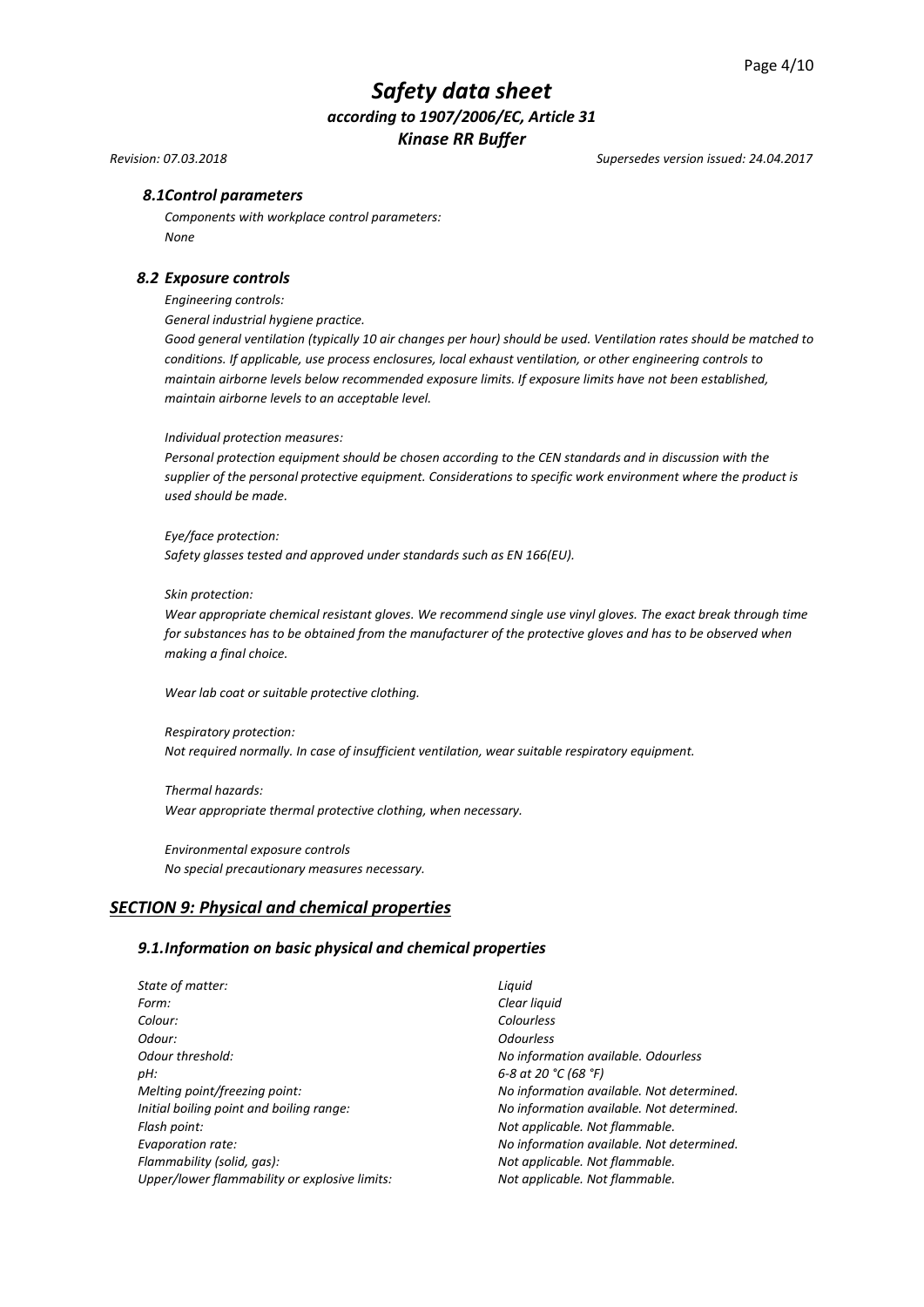*Revision: 07.03.2018 Supersedes version issued: 24.04.2017*

# *8.1Control parameters*

*Components with workplace control parameters: None*

#### *8.2 Exposure controls*

*Engineering controls:*

*General industrial hygiene practice.*

*Good general ventilation (typically 10 air changes per hour) should be used. Ventilation rates should be matched to conditions. If applicable, use process enclosures, local exhaust ventilation, or other engineering controls to maintain airborne levels below recommended exposure limits. If exposure limits have not been established, maintain airborne levels to an acceptable level.*

#### *Individual protection measures:*

*Personal protection equipment should be chosen according to the CEN standards and in discussion with the supplier of the personal protective equipment. Considerations to specific work environment where the product is used should be made.*

#### *Eye/face protection:*

*Safety glasses tested and approved under standards such as EN 166(EU).*

#### *Skin protection:*

*Wear appropriate chemical resistant gloves. We recommend single use vinyl gloves. The exact break through time for substances has to be obtained from the manufacturer of the protective gloves and has to be observed when making a final choice.*

*Wear lab coat or suitable protective clothing.*

*Respiratory protection: Not required normally. In case of insufficient ventilation, wear suitable respiratory equipment.*

*Thermal hazards: Wear appropriate thermal protective clothing, when necessary.*

*Environmental exposure controls No special precautionary measures necessary.*

# *SECTION 9: Physical and chemical properties*

#### *9.1.Information on basic physical and chemical properties*

| State of matter:                              | Liguid               |
|-----------------------------------------------|----------------------|
| Form:                                         | Clear liquid         |
| Colour:                                       | Colourless           |
| Odour:                                        | <b>Odourless</b>     |
| Odour threshold:                              | No information ave   |
| pH:                                           | 6-8 at 20 °C (68 °F) |
| Melting point/freezing point:                 | No information ave   |
| Initial boiling point and boiling range:      | No information ave   |
| Flash point:                                  | Not applicable. Not  |
| Evaporation rate:                             | No information ave   |
| Flammability (solid, gas):                    | Not applicable. Not  |
| Upper/lower flammability or explosive limits: | Not applicable. Not  |
|                                               |                      |

*Odour threshold: No information available. Odourless Melting point/freezing point: No information available. Not determined. Initial boiling point and boiling range: No information available. Not determined.*  $I$ *icable.* Not flammable.  $m$ ation available. Not determined. *Flammability (solid, gas): Not applicable. Not flammable. Iicable. Not flammable.*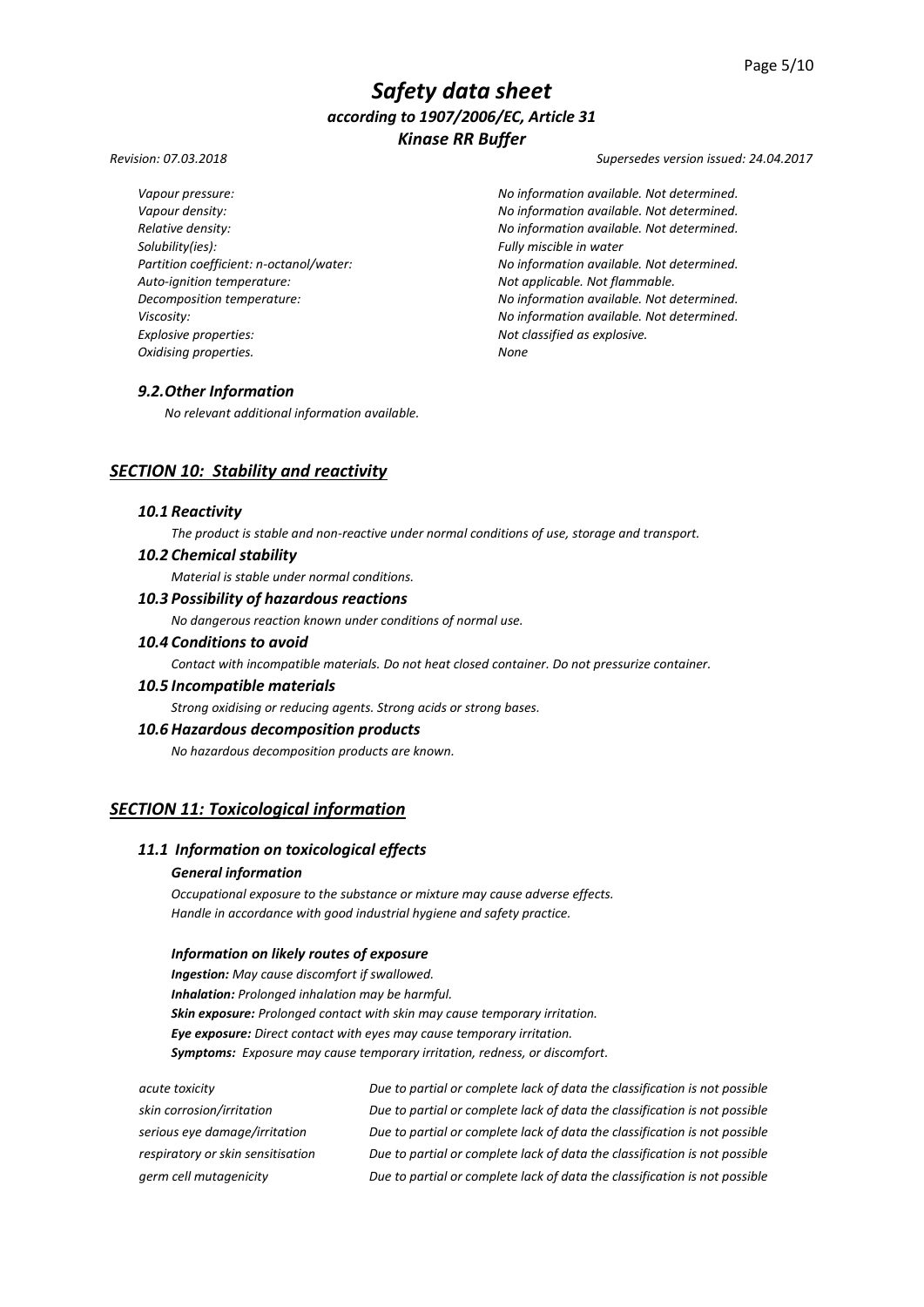*Solubility(ies): Fully miscible in water Auto-ignition temperature: Not applicable. Not flammable. Explosive properties: Not classified as explosive. Oxidising properties. None*

*Revision: 07.03.2018 Supersedes version issued: 24.04.2017*

*Vapour pressure: No information available. Not determined. Vapour density: No information available. Not determined. Relative density: No information available. Not determined. Partition coefficient: n-octanol/water: No information available. Not determined. Decomposition temperature: No information available. Not determined. Viscosity: No information available. Not determined.*

# *9.2.Other Information*

*No relevant additional information available.*

# *SECTION 10: Stability and reactivity*

#### *10.1 Reactivity*

*The product is stable and non-reactive under normal conditions of use, storage and transport.*

# *10.2 Chemical stability*

*Material is stable under normal conditions.*

### *10.3 Possibility of hazardous reactions*

*No dangerous reaction known under conditions of normal use.*

# *10.4 Conditions to avoid*

*Contact with incompatible materials. Do not heat closed container. Do not pressurize container.*

### *10.5 Incompatible materials*

*Strong oxidising or reducing agents. Strong acids or strong bases.*

#### *10.6 Hazardous decomposition products*

*No hazardous decomposition products are known.*

# *SECTION 11: Toxicological information*

# *11.1 Information on toxicological effects*

# *General information*

*Occupational exposure to the substance or mixture may cause adverse effects. Handle in accordance with good industrial hygiene and safety practice.*

#### *Information on likely routes of exposure*

*Ingestion: May cause discomfort if swallowed. Inhalation: Prolonged inhalation may be harmful. Skin exposure: Prolonged contact with skin may cause temporary irritation. Eye exposure: Direct contact with eyes may cause temporary irritation. Symptoms: Exposure may cause temporary irritation, redness, or discomfort.*

| acute toxicity                    | Due to partial or complete lack of data the classification is not possible |
|-----------------------------------|----------------------------------------------------------------------------|
| skin corrosion/irritation         | Due to partial or complete lack of data the classification is not possible |
| serious eye damage/irritation     | Due to partial or complete lack of data the classification is not possible |
| respiratory or skin sensitisation | Due to partial or complete lack of data the classification is not possible |
| germ cell mutagenicity            | Due to partial or complete lack of data the classification is not possible |
|                                   |                                                                            |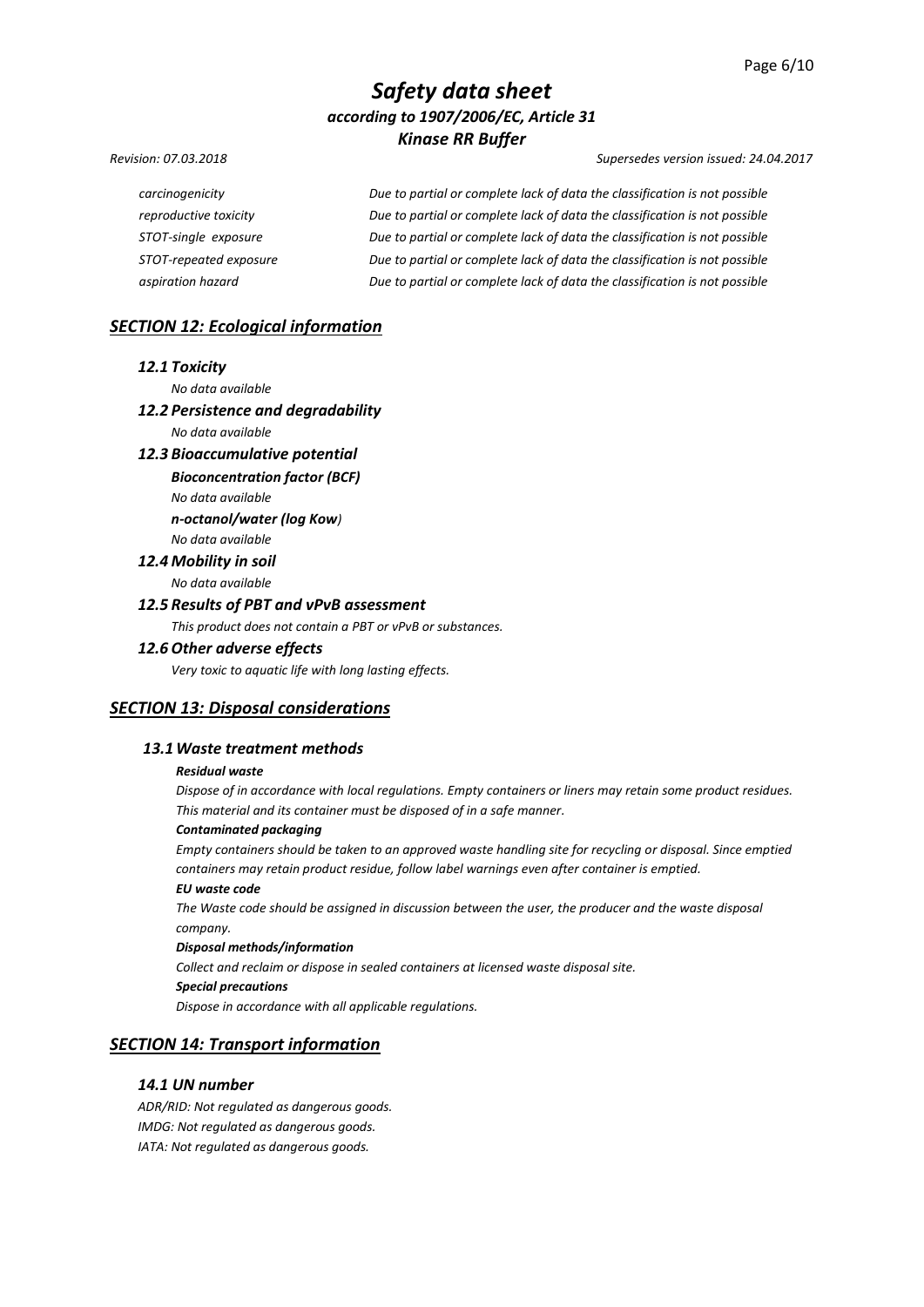#### *Revision: 07.03.2018 Supersedes version issued: 24.04.2017*

*carcinogenicity Due to partial or complete lack of data the classification is not possible reproductive toxicity Due to partial or complete lack of data the classification is not possible STOT-single exposure Due to partial or complete lack of data the classification is not possible STOT-repeated exposure Due to partial or complete lack of data the classification is not possible aspiration hazard Due to partial or complete lack of data the classification is not possible*

# *SECTION 12: Ecological information*

#### *12.1 Toxicity*

*No data available* 

### *12.2 Persistence and degradability*

*No data available*

#### *12.3 Bioaccumulative potential*

*Bioconcentration factor (BCF)*

*No data available* 

*n-octanol/water (log Kow)*

# *No data available 12.4 Mobility in soil*

*No data available* 

#### *12.5 Results of PBT and vPvB assessment*

*This product does not contain a PBT or vPvB or substances.*

#### *12.6 Other adverse effects*

*Very toxic to aquatic life with long lasting effects.*

# *SECTION 13: Disposal considerations*

#### *13.1Waste treatment methods*

#### *Residual waste*

*Dispose of in accordance with local regulations. Empty containers or liners may retain some product residues. This material and its container must be disposed of in a safe manner.*

#### *Contaminated packaging*

*Empty containers should be taken to an approved waste handling site for recycling or disposal. Since emptied containers may retain product residue, follow label warnings even after container is emptied.*

### *EU waste code*

*The Waste code should be assigned in discussion between the user, the producer and the waste disposal company.*

#### *Disposal methods/information*

*Collect and reclaim or dispose in sealed containers at licensed waste disposal site.*

#### *Special precautions*

*Dispose in accordance with all applicable regulations.*

# *SECTION 14: Transport information*

#### *14.1 UN number*

*ADR/RID: Not regulated as dangerous goods. IMDG: Not regulated as dangerous goods. IATA: Not regulated as dangerous goods.*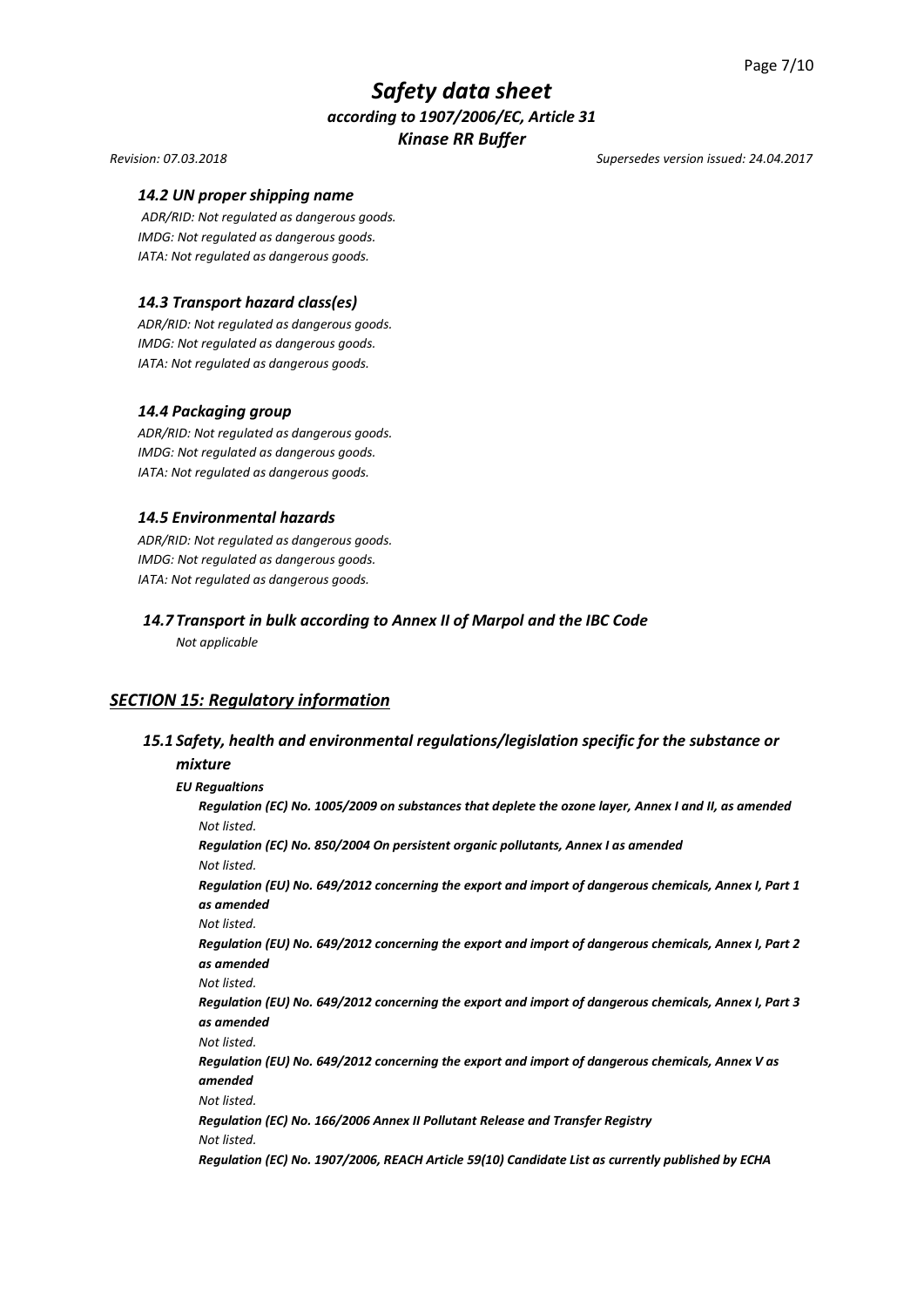#### *Revision: 07.03.2018 Supersedes version issued: 24.04.2017*

#### *14.2 UN proper shipping name*

*ADR/RID: Not regulated as dangerous goods. IMDG: Not regulated as dangerous goods. IATA: Not regulated as dangerous goods.*

### *14.3 Transport hazard class(es)*

*ADR/RID: Not regulated as dangerous goods. IMDG: Not regulated as dangerous goods. IATA: Not regulated as dangerous goods.*

#### *14.4 Packaging group*

*ADR/RID: Not regulated as dangerous goods. IMDG: Not regulated as dangerous goods. IATA: Not regulated as dangerous goods.*

### *14.5 Environmental hazards*

*ADR/RID: Not regulated as dangerous goods. IMDG: Not regulated as dangerous goods. IATA: Not regulated as dangerous goods.*

# *14.7 Transport in bulk according to Annex II of Marpol and the IBC Code*

*Not applicable*

# *SECTION 15: Regulatory information*

# *15.1 Safety, health and environmental regulations/legislation specific for the substance or*

#### *mixture*

*EU Regualtions Regulation (EC) No. 1005/2009 on substances that deplete the ozone layer, Annex I and II, as amended Not listed. Regulation (EC) No. 850/2004 On persistent organic pollutants, Annex I as amended Not listed. Regulation (EU) No. 649/2012 concerning the export and import of dangerous chemicals, Annex I, Part 1 as amended Not listed. Regulation (EU) No. 649/2012 concerning the export and import of dangerous chemicals, Annex I, Part 2 as amended Not listed. Regulation (EU) No. 649/2012 concerning the export and import of dangerous chemicals, Annex I, Part 3 as amended Not listed. Regulation (EU) No. 649/2012 concerning the export and import of dangerous chemicals, Annex V as amended Not listed. Regulation (EC) No. 166/2006 Annex II Pollutant Release and Transfer Registry Not listed. Regulation (EC) No. 1907/2006, REACH Article 59(10) Candidate List as currently published by ECHA*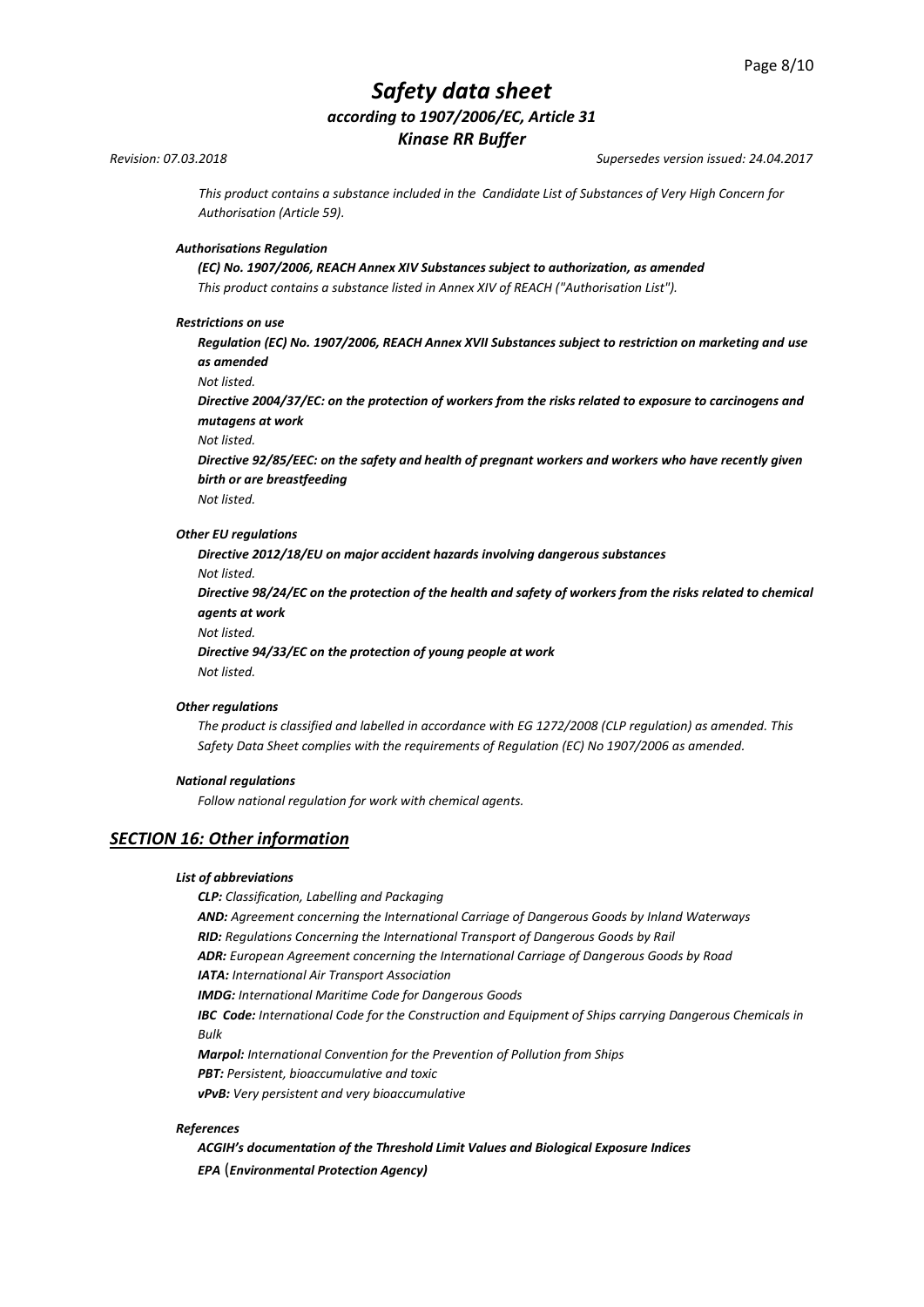*Revision: 07.03.2018 Supersedes version issued: 24.04.2017*

*This product contains a substance included in the Candidate List of Substances of Very High Concern for Authorisation (Article 59).*

#### *Authorisations Regulation*

*(EC) No. 1907/2006, REACH Annex XIV Substances subject to authorization, as amended This product contains a substance listed in Annex XIV of REACH ("Authorisation List").*

#### *Restrictions on use*

*Regulation (EC) No. 1907/2006, REACH Annex XVII Substances subject to restriction on marketing and use as amended*

*Not listed.*

*Directive 2004/37/EC: on the protection of workers from the risks related to exposure to carcinogens and mutagens at work*

*Not listed.*

*Directive 92/85/EEC: on the safety and health of pregnant workers and workers who have recently given birth or are breastfeeding*

*Not listed.*

#### *Other EU regulations*

*Directive 2012/18/EU on major accident hazards involving dangerous substances Not listed. Directive 98/24/EC on the protection of the health and safety of workers from the risks related to chemical agents at work Not listed.*

*Directive 94/33/EC on the protection of young people at work Not listed.*

#### *Other regulations*

*The product is classified and labelled in accordance with EG 1272/2008 (CLP regulation) as amended. This Safety Data Sheet complies with the requirements of Regulation (EC) No 1907/2006 as amended.*

#### *National regulations*

*Follow national regulation for work with chemical agents.*

### *SECTION 16: Other information*

#### *List of abbreviations*

*CLP: Classification, Labelling and Packaging*

*AND: Agreement concerning the International Carriage of Dangerous Goods by Inland Waterways RID: Regulations Concerning the International Transport of Dangerous Goods by Rail*

*ADR: European Agreement concerning the International Carriage of Dangerous Goods by Road*

*IATA: International Air Transport Association*

*IMDG: International Maritime Code for Dangerous Goods*

*IBC Code: International Code for the Construction and Equipment of Ships carrying Dangerous Chemicals in Bulk*

*Marpol: International Convention for the Prevention of Pollution from Ships*

*PBT: Persistent, bioaccumulative and toxic* 

*vPvB: Very persistent and very bioaccumulative*

#### *References*

*ACGIH's documentation of the Threshold Limit Values and Biological Exposure Indices EPA* (*Environmental Protection Agency)*